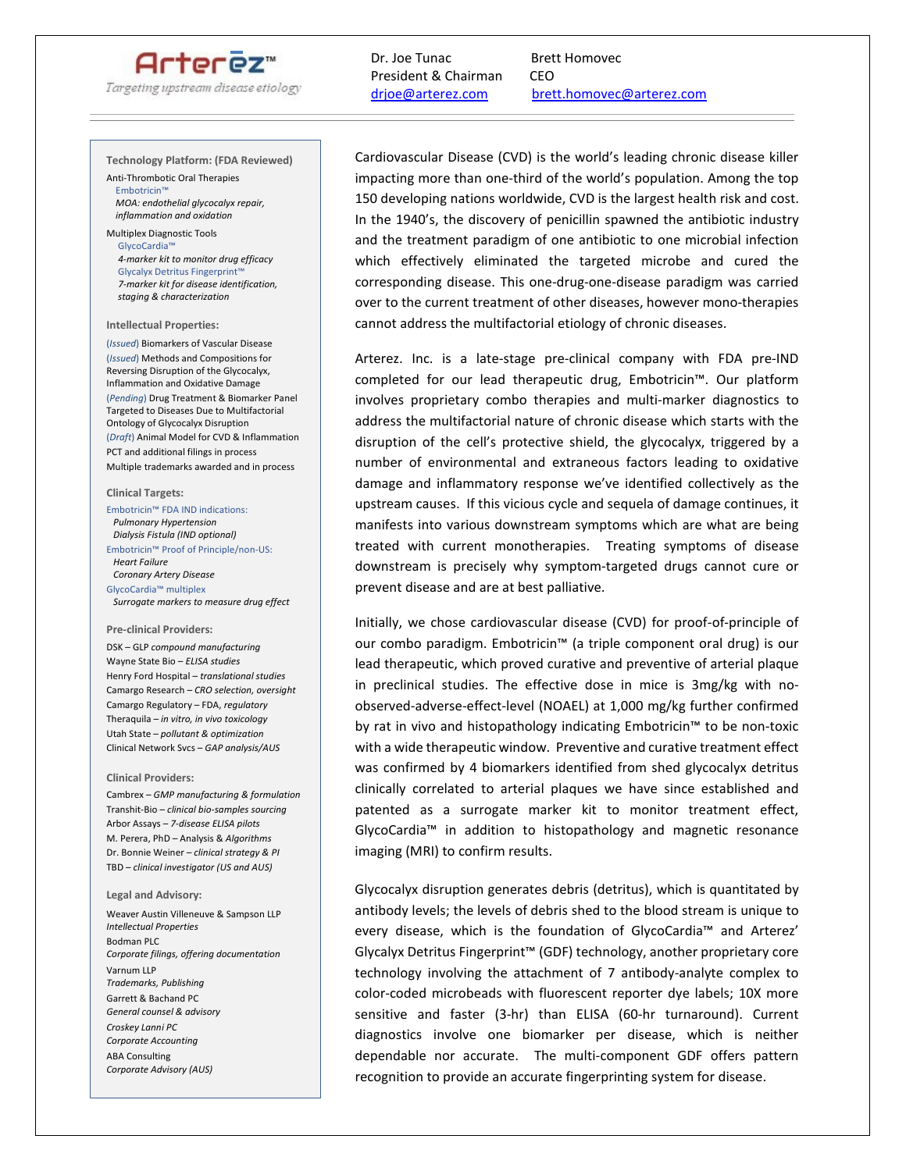## Arterez<sup>®</sup>

Targeting upstream disease etiology

### Dr. Joe Tunac Brett Homovec President & Chairman CEO

 $\overline{a}$ 

# [drjoe@arterez.com brett.homovec@arterez.com](about:blank)

#### **Technology Platform: (FDA Reviewed)**

Anti-Thrombotic Oral Therapies Embotricin™  *MOA: endothelial glycocalyx repair, inflammation and oxidation* 

#### Multiplex Diagnostic Tools GlycoCardia™

 *4-marker kit to monitor drug efficacy*  Glycalyx Detritus Fingerprint  *7-marker kit for disease identification, staging & characterization* 

#### **Intellectual Properties:**

(*Issued*) Biomarkers of Vascular Disease (*Issued*) Methods and Compositions for Reversing Disruption of the Glycocalyx, Inflammation and Oxidative Damage (*Pending*) Drug Treatment & Biomarker Panel Targeted to Diseases Due to Multifactorial Ontology of Glycocalyx Disruption (*Draft*) Animal Model for CVD & Inflammation PCT and additional filings in process Multiple trademarks awarded and in process

#### **Clinical Targets:**

Embotricin™ FDA IND indications:  *Pulmonary Hypertension Dialysis Fistula (IND optional)*  Embotricin™ Proof of Principle/non-US:  *Heart Failure Coronary Artery Disease*  GlycoCardia™ multiplex  *Surrogate markers to measure drug effect*

#### **Pre-clinical Providers:**

DSK – GLP *compound manufacturing* Wayne State Bio – *ELISA studies* Henry Ford Hospital – *translational studies* Camargo Research *– CRO selection, oversight*  Camargo Regulatory – FDA, *regulatory*  Theraquila *– in vitro, in vivo toxicology* Utah State – *pollutant & optimization* Clinical Network Svcs – *GAP analysis/AUS*

#### **Clinical Providers:**

Cambrex – *GMP manufacturing & formulation* Transhit-Bio – *clinical bio-samples sourcing*  Arbor Assays – *7-disease ELISA pilots*  M. Perera, PhD – Analysis & *Algorithms* Dr. Bonnie Weiner *– clinical strategy & PI* TBD – *clinical investigator (US and AUS)*

#### **Legal and Advisory:**

Weaver Austin Villeneuve & Sampson LLP *Intellectual Properties* Bodman PLC *Corporate filings, offering documentation* Varnum LLP *Trademarks, Publishing* Garrett & Bachand PC *General counsel & advisory Croskey Lanni PC Corporate Accounting* ABA Consulting *Corporate Advisory (AUS)*

Cardiovascular Disease (CVD) is the world's leading chronic disease killer impacting more than one-third of the world's population. Among the top 150 developing nations worldwide, CVD is the largest health risk and cost. In the 1940's, the discovery of penicillin spawned the antibiotic industry and the treatment paradigm of one antibiotic to one microbial infection which effectively eliminated the targeted microbe and cured the corresponding disease. This one-drug-one-disease paradigm was carried over to the current treatment of other diseases, however mono-therapies cannot address the multifactorial etiology of chronic diseases.

Arterez. Inc. is a late-stage pre-clinical company with FDA pre-IND completed for our lead therapeutic drug, Embotricin™. Our platform involves proprietary combo therapies and multi-marker diagnostics to address the multifactorial nature of chronic disease which starts with the disruption of the cell's protective shield, the glycocalyx, triggered by a number of environmental and extraneous factors leading to oxidative damage and inflammatory response we've identified collectively as the upstream causes. If this vicious cycle and sequela of damage continues, it manifests into various downstream symptoms which are what are being treated with current monotherapies. Treating symptoms of disease downstream is precisely why symptom-targeted drugs cannot cure or prevent disease and are at best palliative.

Initially, we chose cardiovascular disease (CVD) for proof-of-principle of our combo paradigm. Embotricin™ (a triple component oral drug) is our lead therapeutic, which proved curative and preventive of arterial plaque in preclinical studies. The effective dose in mice is 3mg/kg with noobserved-adverse-effect-level (NOAEL) at 1,000 mg/kg further confirmed by rat in vivo and histopathology indicating Embotricin™ to be non-toxic with a wide therapeutic window. Preventive and curative treatment effect was confirmed by 4 biomarkers identified from shed glycocalyx detritus clinically correlated to arterial plaques we have since established and patented as a surrogate marker kit to monitor treatment effect, GlycoCardia™ in addition to histopathology and magnetic resonance imaging (MRI) to confirm results.

Glycocalyx disruption generates debris (detritus), which is quantitated by antibody levels; the levels of debris shed to the blood stream is unique to every disease, which is the foundation of GlycoCardia™ and Arterez' Glycalyx Detritus Fingerprint™ (GDF) technology, another proprietary core technology involving the attachment of 7 antibody-analyte complex to color-coded microbeads with fluorescent reporter dye labels; 10X more sensitive and faster (3-hr) than ELISA (60-hr turnaround). Current diagnostics involve one biomarker per disease, which is neither dependable nor accurate. The multi-component GDF offers pattern recognition to provide an accurate fingerprinting system for disease.